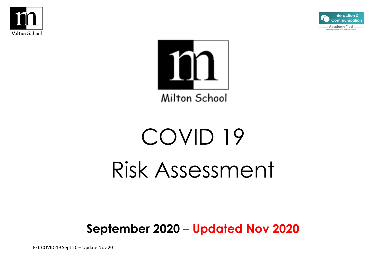





# COVID 19 Risk Assessment

## **September 2020 – Updated Nov 2020**

FEL COVID-19 Sept 20 – Update Nov 20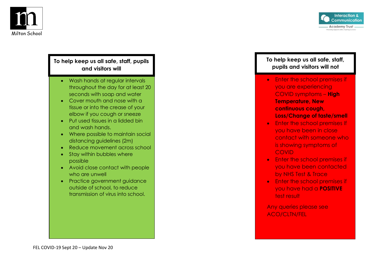



#### **To help keep us all safe, staff, pupils and visitors will**

- Wash hands at regular intervals throughout the day for at least 20 seconds with soap and water
- Cover mouth and nose with a tissue or into the crease of your elbow if you cough or sneeze
- Put used tissues in a lidded bin and wash hands.
- Where possible to maintain social distancing guidelines (2m)
- Reduce movement across school
- Stay within bubbles where possible
- Avoid close contact with people who are unwell
- Practice government guidance outside of school, to reduce transmission of virus into school.

#### **To help keep us all safe, staff, pupils and visitors will not**

- Enter the school premises if you are experiencing COVID symptoms – **High Temperature, New continuous cough, Loss/Change of taste/smell**
- Enter the school premises If you have been in close contact with someone who is showing symptoms of **COVID**
- Enter the school premises if you have been contacted by NHS Test & Trace
- Enter the school premises if you have had a **POSITIVE** test result

Any queries please see ACO/CLTN/FEL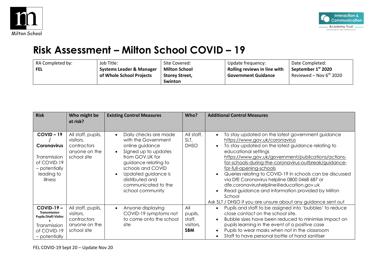



### **Risk Assessment – Milton School COVID – 19**

| RA Completed by: | Job Title:               | Site Covered:         | Update frequency:            | Date Completed:                |
|------------------|--------------------------|-----------------------|------------------------------|--------------------------------|
| <b>FEL</b>       | Systems Leader & Manager | <b>Milton School</b>  | Rolling reviews in line with | September 1 <sup>st</sup> 2020 |
|                  | of Whole School Projects | <b>Storey Street,</b> | <b>Government Guidance</b>   | Reviewed – Nov $6^{th}$ 2020   |
|                  |                          | <b>Swinton</b>        |                              |                                |

| <b>Risk</b>                                                                                                | Who might be<br>at risk?                                                       | <b>Existing Control Measures</b>                                                                                                                                                                                                             | Who?                                                | <b>Additional Control Measures</b>                                                                                                                                                                                                                                                                                                                                                                                                                                                                                                                                                                                                          |
|------------------------------------------------------------------------------------------------------------|--------------------------------------------------------------------------------|----------------------------------------------------------------------------------------------------------------------------------------------------------------------------------------------------------------------------------------------|-----------------------------------------------------|---------------------------------------------------------------------------------------------------------------------------------------------------------------------------------------------------------------------------------------------------------------------------------------------------------------------------------------------------------------------------------------------------------------------------------------------------------------------------------------------------------------------------------------------------------------------------------------------------------------------------------------------|
| $COVID-19$<br><b>Coronavirus</b><br>Transmission<br>of COVID-19<br>- potentially<br>leading to<br>illness  | All staff, pupils,<br>visitors,<br>contractors<br>anyone on the<br>school site | Daily checks are made<br>with the Government<br>online guidance<br>Signed up to updates<br>from GOV.UK for<br>guidance relating to<br>schools and COVID<br>Updated guidance is<br>distributed and<br>communicated to the<br>school community | All staff,<br>SLT,<br><b>DHSO</b>                   | To stay updated on the latest government guidance<br>$\bullet$<br>https://www.gov.uk/coronavirus<br>To stay updated on the latest guidance relating to<br>$\bullet$<br>educational settings<br>https://www.gov.uk/government/publications/actions-<br>for-schools-during-the-coronavirus-outbreak/guidance-<br>for-full-opening-schools<br>Queries relating to COVID-19 in schools can be discussed<br>via DfE Coronavirus helpline 0800 0468 687 or<br>dfe.coronavirushelpline@education.gov.uk<br>Read guidance and information provided by Milton<br>$\bullet$<br>School<br>Ask SLT / DHSO if you are unsure about any guidance sent out |
| $COVID-19-$<br>Transmission<br><b>Pupils/Staff/Visitor</b><br>Transmission<br>of COVID-19<br>- potentially | All staff, pupils,<br>visitors,<br>contractors<br>anyone on the<br>school site | Anyone displaying<br>$\bullet$<br>COVID-19 symptoms not<br>to come onto the school<br>site                                                                                                                                                   | All<br>pupils,<br>staff,<br>visitors,<br><b>SBM</b> | Pupils and staff to be assigned into 'bubbles' to reduce<br>$\bullet$<br>close contact on the school site.<br>Bubble sizes have been reduced to minimise impact on<br>$\bullet$<br>pupils learning in the event of a positive case<br>Pupils to wear masks when not in the classroom<br>$\bullet$<br>Staff to have personal bottle of hand sanitiser<br>$\bullet$                                                                                                                                                                                                                                                                           |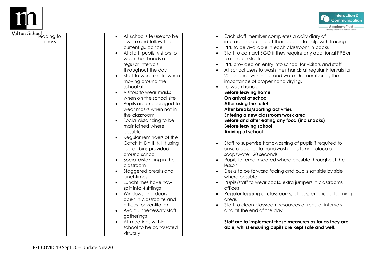



| All school site users to be<br>aware and follow the<br>current guidance<br>All staff, pupils, visitors to<br>wash their hands at<br>regular intervals<br>throughout the day<br>Staff to wear masks when<br>moving around the<br>school site<br>Visitors to wear masks<br>when on the school site<br>Pupils are encouraged to<br>wear masks when not in<br>the classroom<br>Social distancing to be<br>maintained where<br>possible<br>Regular reminders of the<br>Catch It, Bin It, Kill It using<br>lidded bins provided<br>around school<br>Social distancing in the<br>classroom<br>Staggered breaks and<br>lunchtimes<br>Lunchtimes have now<br>split into 4 sittings<br>Windows and doors<br>open in classrooms and<br>offices for ventilation | Each staff member completes a daily diary of<br>$\bullet$<br>interactions outside of their bubble to help with tracing<br>PPE to be available in each classroom in packs<br>Staff to contact SGO if they require any additional PPE or<br>to replace stock<br>PPE provided on entry into school for visitors and staff<br>All school users to wash their hands at regular intervals for<br>20 seconds with soap and water. Remembering the<br>importance of proper hand drying.<br>To wash hands:<br><b>Before leaving home</b><br>On arrival at school<br>After using the toilet<br>After breaks/sporting activities<br>Entering a new classroom/work area<br>Before and after eating any food (inc snacks)<br><b>Before leaving school</b><br>Arriving at school<br>Staff to supervise handwashing of pupils if required to<br>ensure adequate handwashing is taking place e.g.<br>soap/water, 20 seconds<br>Pupils to remain seated where possible throughout the<br>lesson<br>Desks to be forward facing and pupils sat side by side<br>where possible<br>Pupils/staff to wear coats, extra jumpers in classrooms<br>offices<br>Regular fogging of classrooms, offices, extended learning<br>$\bullet$<br>areas<br>Staff to clean classroom resources at regular intervals |
|-----------------------------------------------------------------------------------------------------------------------------------------------------------------------------------------------------------------------------------------------------------------------------------------------------------------------------------------------------------------------------------------------------------------------------------------------------------------------------------------------------------------------------------------------------------------------------------------------------------------------------------------------------------------------------------------------------------------------------------------------------|--------------------------------------------------------------------------------------------------------------------------------------------------------------------------------------------------------------------------------------------------------------------------------------------------------------------------------------------------------------------------------------------------------------------------------------------------------------------------------------------------------------------------------------------------------------------------------------------------------------------------------------------------------------------------------------------------------------------------------------------------------------------------------------------------------------------------------------------------------------------------------------------------------------------------------------------------------------------------------------------------------------------------------------------------------------------------------------------------------------------------------------------------------------------------------------------------------------------------------------------------------------------------------|
| Avoid unnecessary staff<br>gatherings<br>All meetings within<br>school to be conducted                                                                                                                                                                                                                                                                                                                                                                                                                                                                                                                                                                                                                                                              | and at the end of the day<br>Staff are to implement these measures as far as they are<br>able, whilst ensuring pupils are kept safe and well.                                                                                                                                                                                                                                                                                                                                                                                                                                                                                                                                                                                                                                                                                                                                                                                                                                                                                                                                                                                                                                                                                                                                  |
|                                                                                                                                                                                                                                                                                                                                                                                                                                                                                                                                                                                                                                                                                                                                                     | virtually                                                                                                                                                                                                                                                                                                                                                                                                                                                                                                                                                                                                                                                                                                                                                                                                                                                                                                                                                                                                                                                                                                                                                                                                                                                                      |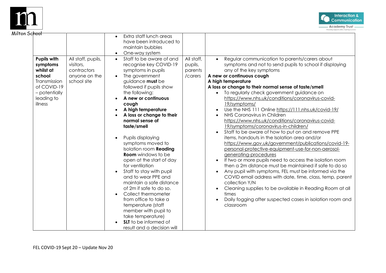



| on Sc <del>hool</del> | <b>Pupils with</b><br>symptoms<br>whilst at<br>school<br>Transmission<br>of COVID-19<br>- potentially<br>leading to<br>illness | All staff, pupils,<br>visitors,<br>contractors<br>anyone on the<br>school site | Extra staff lunch areas<br>$\bullet$<br>have been introduced to<br>maintain bubbles<br>One-way system<br>Staff to be aware of and<br>$\bullet$<br>recognise key COVID-19<br>symptoms in pupils<br>The government<br>guidance must be<br>followed if pupils show<br>the following:<br>A new or continuous<br>cough<br>A high temperature<br>A loss or change to their<br>normal sense of<br>taste/smell<br>Pupils displaying<br>symptoms moved to | All staff,<br>pupils,<br>parents<br>/carers | Regular communication to parents/carers about<br>symptoms and not to send pupils to school if displaying<br>any of the key symptoms<br>A new or continuous cough<br>A high temperature<br>A loss or change to their normal sense of taste/smell<br>To regularly check government guidance on<br>https://www.nhs.uk/conditions/coronavirus-covid-<br>19/symptoms/<br>Use the NHS 111 Online https://111.nhs.uk/covid-19/<br>NHS Coronavirus in Children<br>https://www.nhs.uk/conditions/coronavirus-covid-<br>19/symptoms/coronavirus-in-children/<br>Staff to be aware of how to put on and remove PPE<br>items, handouts in the Isolation area and/or<br>https://www.gov.uk/government/publications/covid-19- |
|-----------------------|--------------------------------------------------------------------------------------------------------------------------------|--------------------------------------------------------------------------------|--------------------------------------------------------------------------------------------------------------------------------------------------------------------------------------------------------------------------------------------------------------------------------------------------------------------------------------------------------------------------------------------------------------------------------------------------|---------------------------------------------|-----------------------------------------------------------------------------------------------------------------------------------------------------------------------------------------------------------------------------------------------------------------------------------------------------------------------------------------------------------------------------------------------------------------------------------------------------------------------------------------------------------------------------------------------------------------------------------------------------------------------------------------------------------------------------------------------------------------|
|                       |                                                                                                                                |                                                                                | <b>Room</b> windows to be<br>open at the start of day<br>for ventilation<br>Staff to stay with pupil<br>and to wear PPE and<br>maintain a safe distance<br>of 2m if safe to do so.<br>Collect thermometer<br>$\bullet$<br>from office to take a<br>temperature (staff<br>member with pupil to<br>take temperature)<br><b>SLT</b> to be informed of<br>result and a decision will                                                                 |                                             | generating-procedures<br>If two or more pupils need to access the isolation room<br>then a 2m distance must be maintained if safe to do so<br>Any pupil with symptoms, FEL must be informed via the<br>COVID email address with date, time, class, temp, parent<br>collection Y/N<br>Cleaning supplies to be available in Reading Room at all<br>times<br>Daily fogging after suspected cases in isolation room and<br>classroom                                                                                                                                                                                                                                                                                |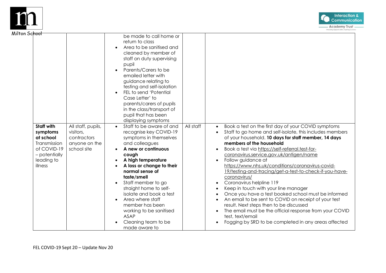



| 'on Sc <del>hool'</del>                                                                                      |                                                                                |                                                                                                                                                                                                                                                                                                                                                                                                                                                   |           |                                                                                                                                                                                                                                                                                                                                                                                                                                                                                                                                                                                                                                                                                                                                                                                                                                          |
|--------------------------------------------------------------------------------------------------------------|--------------------------------------------------------------------------------|---------------------------------------------------------------------------------------------------------------------------------------------------------------------------------------------------------------------------------------------------------------------------------------------------------------------------------------------------------------------------------------------------------------------------------------------------|-----------|------------------------------------------------------------------------------------------------------------------------------------------------------------------------------------------------------------------------------------------------------------------------------------------------------------------------------------------------------------------------------------------------------------------------------------------------------------------------------------------------------------------------------------------------------------------------------------------------------------------------------------------------------------------------------------------------------------------------------------------------------------------------------------------------------------------------------------------|
|                                                                                                              |                                                                                | be made to call home or<br>return to class<br>Area to be sanitised and<br>cleaned by member of<br>staff on duty supervising<br>pupil<br>Parents/Carers to be<br>emailed letter with<br>guidance relating to<br>testing and self-isolation<br>FEL to send 'Potential<br>Case Letter' to<br>parents/carers of pupils<br>in the class/transport of<br>pupil that has been<br>displaying symptoms                                                     |           |                                                                                                                                                                                                                                                                                                                                                                                                                                                                                                                                                                                                                                                                                                                                                                                                                                          |
| Staff with<br>symptoms<br>at school<br>Transmission<br>of COVID-19<br>- potentially<br>leading to<br>illness | All staff, pupils,<br>visitors,<br>contractors<br>anyone on the<br>school site | Staff to be aware of and<br>$\bullet$<br>recognise key COVID-19<br>symptoms in themselves<br>and colleagues<br>A new or continuous<br>cough<br>A high temperature<br>A loss or change to their<br>normal sense of<br>taste/smell<br>Staff member to go<br>$\bullet$<br>straight home to self-<br>isolate and book a test<br>Area where staff<br>member has been<br>working to be sanitised<br><b>ASAP</b><br>Cleaning team to be<br>made aware to | All staff | Book a test on the first day of your COVID symptoms<br>$\bullet$<br>Staff to go home and self-isolate, this includes members<br>of your household. 10 days for staff member, 14 days<br>members of the household<br>Book a test via https://self-referral.test-for-<br>coronavirus.service.gov.uk/antigen/name<br>Follow guidance at<br>https://www.nhs.uk/conditions/coronavirus-covid-<br>19/testing-and-tracing/get-a-test-to-check-if-you-have-<br>coronavirus/<br>Coronavirus helpline 119<br>Keep in touch with your line manager<br>Once you have a test booked school must be informed<br>An email to be sent to COVID on receipt of your test<br>result. Next steps then to be discussed<br>The email must be the official response from your COVID<br>test, text/email<br>Fogging by SRD to be completed in any areas affected |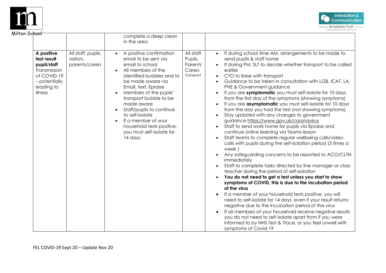



| on Sc <del>hool</del>                                                                                             |                                                   | complete a deep clean<br>in the area                                                                                                                                                                                                                                                                                                                                                         |                                                         |                                                                                                                                                                                                                                                                                                                                                                                                                                                                                                                                                                                                                                                                                                                                                                                                                                                                                                                                                                                                                                                                                                                                                                                                                                                                                                                                                                                                                                                                                                                                                                                                                                                                                                                           |
|-------------------------------------------------------------------------------------------------------------------|---------------------------------------------------|----------------------------------------------------------------------------------------------------------------------------------------------------------------------------------------------------------------------------------------------------------------------------------------------------------------------------------------------------------------------------------------------|---------------------------------------------------------|---------------------------------------------------------------------------------------------------------------------------------------------------------------------------------------------------------------------------------------------------------------------------------------------------------------------------------------------------------------------------------------------------------------------------------------------------------------------------------------------------------------------------------------------------------------------------------------------------------------------------------------------------------------------------------------------------------------------------------------------------------------------------------------------------------------------------------------------------------------------------------------------------------------------------------------------------------------------------------------------------------------------------------------------------------------------------------------------------------------------------------------------------------------------------------------------------------------------------------------------------------------------------------------------------------------------------------------------------------------------------------------------------------------------------------------------------------------------------------------------------------------------------------------------------------------------------------------------------------------------------------------------------------------------------------------------------------------------------|
| A positive<br>test result<br>pupil/staff<br>Transmission<br>of COVID-19<br>- potentially<br>leading to<br>illness | All staff, pupils,<br>visitors,<br>parents/carers | A positive confirmation<br>$\bullet$<br>email to be sent via<br>email to school<br>All members of the<br>identified bubbles and to<br>be made aware via<br>Email, text, Epraise<br>Members of the pupils'<br>transport bubble to be<br>made aware<br>Staff/pupils to continue<br>to self-isolate<br>If a member of your<br>household tests positive,<br>you must self-isolate for<br>14 days | All staff,<br>Pupils,<br>Parents<br>Carers<br>Transport | If during school time AM, arrangements to be made to<br>$\bullet$<br>send pupils & staff home<br>If during PM, SLT to decide whether transport to be called<br>earlier<br>CTO to liaise with transport<br>$\bullet$<br>Guidance to be taken in consultation with LGB, ICAT, LA,<br>$\bullet$<br>PHE & Government guidance<br>If you are symptomatic you must self-isolate for 10 days<br>$\bullet$<br>from the first day of the symptoms (showing symptoms)<br>If you are <b>asymptomatic</b> you must self-isolate for 10 days<br>$\bullet$<br>from the day you had the test (not showing symptoms)<br>Stay updated with any changes to government<br>$\bullet$<br>guidance https://www.gov.uk/coronavirus<br>Staff to send work home for pupils via Epraise and<br>$\bullet$<br>continue online learning via Teams lesson<br>Staff teams to complete regular wellbeing calls/video<br>$\bullet$<br>calls with pupils during the self-isolation period (3 times a<br>week)<br>Any safeguarding concerns to be reported to ACO/CLTN<br>immediately<br>Staff to complete tasks directed by line manager or class<br>$\bullet$<br>teacher during the period of self-isolation<br>You do not need to get a test unless you start to show<br>$\bullet$<br>symptoms of COVID, this is due to the incubation period<br>of the virus<br>If a member of your household tests positive, you will<br>need to self-isolate for 14 days, even if your result returns<br>negative due to the incubation period of the virus<br>If all members of your household receive negative results<br>you do not need to self-isolate apart from if you were<br>informed to by NHS Test & Trace, or you feel unwell with<br>symptoms of Covid-19 |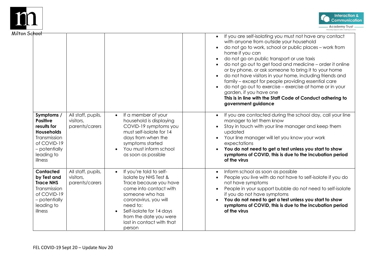



| hool                                                                                                                                       |                                                   |                                                                                                                                                                                                                                                                                     | If you are self-isolating you must not have any contact<br>$\bullet$<br>with anyone from outside your household<br>do not go to work, school or public places - work from<br>home if you can<br>do not go on public transport or use taxis<br>do not go out to get food and medicine - order it online<br>or by phone, or ask someone to bring it to your home<br>do not have visitors in your home, including friends and<br>family - except for people providing essential care<br>do not go out to exercise - exercise at home or in your<br>garden, if you have one<br>This is in line with the Staff Code of Conduct adhering to<br>government guidance |
|--------------------------------------------------------------------------------------------------------------------------------------------|---------------------------------------------------|-------------------------------------------------------------------------------------------------------------------------------------------------------------------------------------------------------------------------------------------------------------------------------------|--------------------------------------------------------------------------------------------------------------------------------------------------------------------------------------------------------------------------------------------------------------------------------------------------------------------------------------------------------------------------------------------------------------------------------------------------------------------------------------------------------------------------------------------------------------------------------------------------------------------------------------------------------------|
| Symptoms /<br><b>Positive</b><br>results for<br><b>Households</b><br>Transmission<br>of COVID-19<br>- potentially<br>leading to<br>illness | All staff, pupils,<br>visitors,<br>parents/carers | If a member of your<br>$\bullet$<br>household is displaying<br>COVID-19 symptoms you<br>must self-isolate for 14<br>days from when the<br>symptoms started<br>You must inform school<br>as soon as possible                                                                         | If you are contacted during the school day, call your line<br>$\bullet$<br>manager to let them know<br>Stay in touch with your line manager and keep them<br>updated<br>Your line manager will let you know your work<br>expectations<br>You do not need to get a test unless you start to show<br>symptoms of COVID, this is due to the incubation period<br>of the virus                                                                                                                                                                                                                                                                                   |
| Contacted<br>by Test and<br><b>Trace NHS</b><br>Transmission<br>of COVID-19<br>- potentially<br>leading to<br>illness                      | All staff, pupils,<br>visitors,<br>parents/carers | If you're told to self-<br>$\bullet$<br>isolate by NHS Test &<br>Trace because you have<br>come into contact with<br>someone who has<br>coronavirus, you will<br>need to:<br>Self-isolate for 14 days<br>$\bullet$<br>from the date you were<br>last in contact with that<br>person | Inform school as soon as possible<br>$\bullet$<br>People you live with do not have to self-isolate if you do<br>not have symptoms<br>People in your support bubble do not need to self-isolate<br>if you do not have symptoms<br>You do not need to get a test unless you start to show<br>symptoms of COVID, this is due to the incubation period<br>of the virus                                                                                                                                                                                                                                                                                           |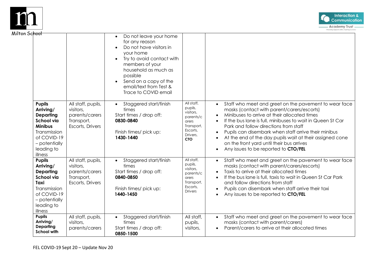



| on Sc <del>hool'</del>                                                                                                                                         |                                                                                     | Do not leave your home<br>$\bullet$<br>for any reason<br>Do not have visitors in<br>your home<br>Try to avoid contact with<br>$\bullet$<br>members of your<br>household as much as<br>possible<br>Send on a copy of the<br>email/text from Test &<br>Trace to COVID email |                                                                                                              |                                                                                                                                                                                                                                                                                                                                                                                                                                                                     |
|----------------------------------------------------------------------------------------------------------------------------------------------------------------|-------------------------------------------------------------------------------------|---------------------------------------------------------------------------------------------------------------------------------------------------------------------------------------------------------------------------------------------------------------------------|--------------------------------------------------------------------------------------------------------------|---------------------------------------------------------------------------------------------------------------------------------------------------------------------------------------------------------------------------------------------------------------------------------------------------------------------------------------------------------------------------------------------------------------------------------------------------------------------|
| <b>Pupils</b><br>Arriving/<br><b>Departing</b><br><b>School via</b><br><b>Minibus</b><br>Transmission<br>of COVID-19<br>- potentially<br>leading to<br>illness | All staff, pupils,<br>visitors,<br>parents/carers<br>Transport,<br>Escorts, Drivers | Staggered start/finish<br>$\bullet$<br>times<br>Start times / drop off:<br>0830-0840<br>Finish times/ pick up:<br>1430-1440                                                                                                                                               | All staff,<br>pupils,<br>visitors,<br>parents/c<br>arers<br>Transport,<br>Escorts,<br>Drivers.<br><b>CTO</b> | Staff who meet and greet on the pavement to wear face<br>masks (contact with parent/carers/escorts)<br>Minibuses to arrive at their allocated times<br>If the bus lane is full, minibuses to wait in Queen St Car<br>Park and follow directions from staff<br>Pupils can disembark when staff arrive their minibus<br>At the end of the day pupils wait at their assigned cone<br>on the front yard until their bus arrives<br>Any issues to be reported to CTO/FEL |
| <b>Pupils</b><br>Arriving/<br><b>Departing</b><br><b>School via</b><br>Taxi<br>Transmission<br>of COVID-19<br>- potentially<br>leading to<br>illness           | All staff, pupils,<br>visitors,<br>parents/carers<br>Transport,<br>Escorts, Drivers | Staggered start/finish<br>$\bullet$<br>times<br>Start times / drop off:<br>0840-0850<br>Finish times/ pick up:<br>1440-1450                                                                                                                                               | All staff,<br>pupils,<br>visitors,<br>parents/c<br>arers<br>Transport,<br>Escorts,<br><b>Drivers</b>         | Staff who meet and greet on the pavement to wear face<br>masks (contact with parent/carers/escorts)<br>Taxis to arrive at their allocated times<br>If the bus lane is full, taxis to wait in Queen St Car Park<br>and follow directions from staff<br>Pupils can disembark when staff arrive their taxi<br>Any issues to be reported to CTO/FEL                                                                                                                     |
| <b>Pupils</b><br>Arriving/<br><b>Departing</b><br><b>School with</b>                                                                                           | All staff, pupils,<br>visitors,<br>parents/carers                                   | Staggered start/finish<br>$\bullet$<br>times<br>Start times / drop off:<br>0850-1500                                                                                                                                                                                      | All staff,<br>pupils,<br>visitors,                                                                           | Staff who meet and greet on the pavement to wear face<br>$\bullet$<br>masks (contact with parent/carers)<br>Parent/carers to arrive at their allocated times                                                                                                                                                                                                                                                                                                        |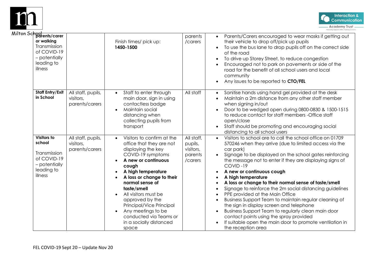



| hool<br>  parents/carer<br>or walking<br>Transmission<br>of COVID-19<br>- potentially<br>leading to<br>illness |                                                   | Finish times/ pick up:<br>1450-1500                                                                                                                                                                                                                                                                                                                                                            | parents<br>/carers                                       | Parents/Carers encouraged to wear masks if getting out<br>their vehicle to drop off/pick up pupils<br>To use the bus lane to drop pupils off on the correct side<br>of the road<br>To drive up Storey Street, to reduce congestion<br>Encouraged not to park on pavements or side of the<br>road for the benefit of all school users and local<br>community<br>Any issues to be reported to CTO/FEL                                                                                                                                                                                                                                                                                                                                                                    |
|----------------------------------------------------------------------------------------------------------------|---------------------------------------------------|------------------------------------------------------------------------------------------------------------------------------------------------------------------------------------------------------------------------------------------------------------------------------------------------------------------------------------------------------------------------------------------------|----------------------------------------------------------|------------------------------------------------------------------------------------------------------------------------------------------------------------------------------------------------------------------------------------------------------------------------------------------------------------------------------------------------------------------------------------------------------------------------------------------------------------------------------------------------------------------------------------------------------------------------------------------------------------------------------------------------------------------------------------------------------------------------------------------------------------------------|
| Staff Entry/Exit<br>in School                                                                                  | All staff, pupils,<br>visitors,<br>parents/carers | Staff to enter through<br>$\bullet$<br>main door, sign in using<br>contactless badge<br>Maintain social<br>distancing when<br>collecting pupils from<br>transport                                                                                                                                                                                                                              | All staff                                                | Sanitise hands using hand gel provided at the desk<br>Maintain a 2m distance from any other staff member<br>when signing in/out<br>Door to be wedged open during 0800-0830 & 1500-1515<br>to reduce contact for staff members - Office staff<br>open/close<br>Staff should be promoting and encouraging social<br>distancing to all school users                                                                                                                                                                                                                                                                                                                                                                                                                       |
| Visitors to<br>school<br>Transmission<br>of COVID-19<br>- potentially<br>leading to<br>illness                 | All staff, pupils,<br>visitors,<br>parents/carers | Visitors to confirm at the<br>$\bullet$<br>office that they are not<br>displaying the key<br>COVID-19 symptoms<br>A new or continuous<br>cough<br>A high temperature<br>A loss or change to their<br>normal sense of<br>taste/smell<br>All visitors must be<br>approved by the<br>Principal/Vice Principal<br>Any meetings to be<br>conducted via Teams or<br>in a socially distanced<br>space | All staff,<br>pupils,<br>visitors,<br>parents<br>/carers | Visitors to school are to call the school office on 01709<br>570246 when they arrive (due to limited access via the<br>car park)<br>Signage to be displayed on the school gates reinforcing<br>the message not to enter if they are displaying signs of<br>COVID-19<br>A new or continuous cough<br>A high temperature<br>A loss or change to their normal sense of taste/smell<br>Signage to reinforce the 2m social distancing guidelines<br>PPE provided at the Main Office<br>Business Support Team to maintain regular cleaning of<br>the sign in display screen and telephone<br>Business Support Team to regularly clean main door<br>contact points using the spray provided<br>If suitable open the main door to promote ventilation in<br>the reception area |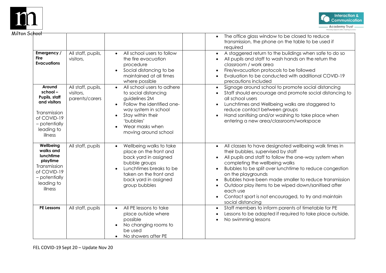



| ochool      |                                                                                                                                |                                                   |                                                                                                                                                                                                                      | The office glass window to be closed to reduce<br>transmission, the phone on the table to be used if<br>required                                                                                                                                                                                                                                                                                                                                                                                             |
|-------------|--------------------------------------------------------------------------------------------------------------------------------|---------------------------------------------------|----------------------------------------------------------------------------------------------------------------------------------------------------------------------------------------------------------------------|--------------------------------------------------------------------------------------------------------------------------------------------------------------------------------------------------------------------------------------------------------------------------------------------------------------------------------------------------------------------------------------------------------------------------------------------------------------------------------------------------------------|
| <b>Fire</b> | Emergency /<br><b>Evacuations</b>                                                                                              | All staff, pupils,<br>visitors,                   | All school users to follow<br>$\bullet$<br>the fire evacuation<br>procedure<br>Social distancing to be<br>$\bullet$<br>maintained at all times<br>where possible                                                     | A staggered return to the buildings when safe to do so<br>$\bullet$<br>All pupils and staff to wash hands on the return the<br>classroom / work area<br>Fire/evacuation protocols to be followed<br>Evaluation to be conducted with additional COVID-19<br>$\bullet$<br>precautions included                                                                                                                                                                                                                 |
|             | Around<br>$school -$<br>Pupils, staff<br>and visitors<br>Transmission<br>of COVID-19<br>- potentially<br>leading to<br>illness | All staff, pupils,<br>visitors,<br>parents/carers | All school users to adhere<br>$\bullet$<br>to social distancing<br>guidelines 2M<br>Follow the identified one-<br>way system in school<br>Stay within their<br>'bubbles'<br>Wear masks when<br>moving around school  | Signage around school to promote social distancing<br>Staff should encourage and promote social distancing to<br>all school users<br>Lunchtimes and Wellbeing walks are staggered to<br>reduce contact between groups<br>Hand sanitising and/or washing to take place when<br>entering a new area/classroom/workspace                                                                                                                                                                                        |
|             | Wellbeing<br>walks and<br>lunchtime<br>playtime<br>Transmission<br>of COVID-19<br>- potentially<br>leading to<br>illness       | All staff, pupils                                 | Wellbeing walks to take<br>$\bullet$<br>place on the front and<br>back yard in assigned<br>bubble groups<br>Lunchtimes breaks to be<br>$\bullet$<br>taken on the front and<br>back yard in assigned<br>group bubbles | All classes to have designated wellbeing walk times in<br>$\bullet$<br>their bubbles, supervised by staff<br>All pupils and staff to follow the one-way system when<br>completing the wellbeing walks<br>Bubbles to be split over lunchtime to reduce congestion<br>on the playgrounds<br>Bubbles have been made smaller to reduce transmission<br>Outdoor play items to be wiped down/sanitised after<br>$\bullet$<br>each use<br>Contact sport is not encouraged, to try and maintain<br>social distancing |
|             | <b>PE Lessons</b>                                                                                                              | All staff, pupils                                 | All PE lessons to take<br>$\bullet$<br>place outside where<br>possible<br>No changing rooms to<br>be used<br>No showers after PE                                                                                     | Staff members to inform parents of timetable for PE<br>$\bullet$<br>Lessons to be adapted if required to take place outside.<br>No swimming lessons                                                                                                                                                                                                                                                                                                                                                          |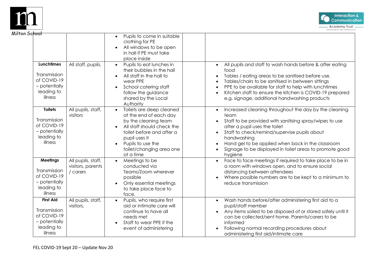



| School                                                                                     |                                                     |                                                                                                                                                                                                                      |                                                                                                                                                                                                                                                                                                                                                                                         |
|--------------------------------------------------------------------------------------------|-----------------------------------------------------|----------------------------------------------------------------------------------------------------------------------------------------------------------------------------------------------------------------------|-----------------------------------------------------------------------------------------------------------------------------------------------------------------------------------------------------------------------------------------------------------------------------------------------------------------------------------------------------------------------------------------|
|                                                                                            |                                                     | Pupils to come in suitable<br>$\bullet$<br>clothing for PE<br>All windows to be open<br>in hall if PE must take<br>place inside                                                                                      |                                                                                                                                                                                                                                                                                                                                                                                         |
| <b>Lunchtimes</b><br>Transmission<br>of COVID-19<br>- potentially<br>leading to<br>illness | All staff, pupils,                                  | Pupils to eat lunches in<br>their bubbles in the hall<br>All staff in the hall to<br>wear PPE<br>School catering staff<br>$\bullet$<br>follow the guidance<br>shared by the Local<br>Authority                       | All pupils and staff to wash hands before & after eating<br>$\bullet$<br>food<br>Tables / eating areas to be sanitised before use.<br>$\bullet$<br>Tables/chairs to be sanitised in between sittings<br>PPE to be available for staff to help with lunchtimes<br>$\bullet$<br>Kitchen staff to ensure the kitchen is COVID-19 prepared<br>e.g. signage, additional handwashing products |
| <b>Toilets</b><br>Transmission<br>of COVID-19<br>- potentially<br>leading to<br>illness    | All pupils, staff,<br>visitors                      | Toilets are deep cleaned<br>at the end of each day<br>by the cleaning team<br>All staff should check the<br>toilet before and after a<br>pupil uses it<br>Pupils to use the<br>toilet/changing area one<br>at a time | Increased cleaning throughout the day by the cleaning<br>$\bullet$<br>team<br>Staff to be provided with sanitising spray/wipes to use<br>after a pupil uses the toilet<br>Staff to check/remind/supervise pupils about<br>handwashing<br>Hand gel to be applied when back in the classroom<br>Signage to be displayed in toilet areas to promote good<br>hygiene                        |
| <b>Meetings</b><br>Transmission<br>of COVID-19<br>- potentially<br>leading to<br>illness   | All pupils, staff,<br>visitors, parents<br>/ carers | Meetings to be<br>$\bullet$<br>conducted via<br>Teams/Zoom wherever<br>possible<br>Only essential meetings<br>$\bullet$<br>to take place face to<br>face.                                                            | Face to face meetings if required to take place to be in<br>a room with windows open, and to ensure social<br>distancing between attendees<br>Where possible numbers are to be kept to a minimum to<br>reduce transmission                                                                                                                                                              |
| <b>First Aid</b><br>Transmission<br>of COVID-19<br>- potentially<br>leading to<br>illness  | All pupils, staff,<br>visitors,                     | Pupils, who require first<br>$\bullet$<br>aid or intimate care will<br>continue to have all<br>needs met<br>Staff to wear PPE if the<br>$\bullet$<br>event of administering                                          | Wash hands before/after administering first aid to a<br>$\bullet$<br>pupil/staff member<br>Any items soiled to be disposed of or stored safely until it<br>$\bullet$<br>can be collected/sent home. Parents/carers to be<br>informed<br>Following normal recording procedures about<br>administering first aid/intimate care                                                            |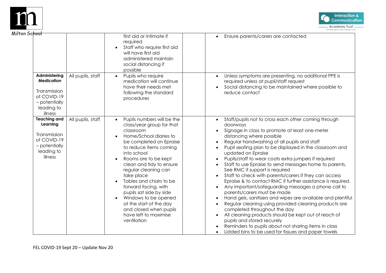



| า Sc <del>hool</del>                                                                                        |                   | first aid or intimate if<br>required<br>Staff who require first aid<br>will have first aid<br>administered maintain<br>social distancing if<br>possible                                                                                                                                                                                                                                                                                                                                                             | Ensure parents/carers are contacted<br>$\bullet$                                                                                                                                                                                                                                                                                                                                                                                                                                                                                                                                                                                                                                                                                                                                                                                                                                                                                                                                                                           |
|-------------------------------------------------------------------------------------------------------------|-------------------|---------------------------------------------------------------------------------------------------------------------------------------------------------------------------------------------------------------------------------------------------------------------------------------------------------------------------------------------------------------------------------------------------------------------------------------------------------------------------------------------------------------------|----------------------------------------------------------------------------------------------------------------------------------------------------------------------------------------------------------------------------------------------------------------------------------------------------------------------------------------------------------------------------------------------------------------------------------------------------------------------------------------------------------------------------------------------------------------------------------------------------------------------------------------------------------------------------------------------------------------------------------------------------------------------------------------------------------------------------------------------------------------------------------------------------------------------------------------------------------------------------------------------------------------------------|
| Administering<br><b>Medication</b><br>Transmission<br>of COVID-19<br>- potentially<br>leading to<br>illness | All pupils, staff | Pupils who require<br>$\bullet$<br>medication will continue<br>have their needs met<br>following the standard<br>procedures                                                                                                                                                                                                                                                                                                                                                                                         | Unless symptoms are presenting, no additional PPE is<br>$\bullet$<br>required unless at pupil/staff request<br>Social distancing to be maintained where possible to<br>reduce contact                                                                                                                                                                                                                                                                                                                                                                                                                                                                                                                                                                                                                                                                                                                                                                                                                                      |
| <b>Teaching and</b><br>Learning<br>Transmission<br>of COVID-19<br>- potentially<br>leading to<br>illness    | All pupils, staff | Pupils numbers will be the<br>$\bullet$<br>class/year group for that<br>classroom<br>Home/School diaries to<br>$\bullet$<br>be completed on Epraise<br>to reduce items coming<br>into school<br>Rooms are to be kept<br>$\bullet$<br>clean and tidy to ensure<br>regular cleaning can<br>take place<br>Tables and chairs to be<br>forward facing, with<br>pupils sat side by side<br>Windows to be opened<br>$\bullet$<br>at the start of the day<br>and closed when pupils<br>have left to maximise<br>ventilation | Staff/pupils not to cross each other coming through<br>doorways<br>Signage in class to promote at least one-meter<br>distancing where possible<br>Regular handwashing of all pupils and staff<br>Pupil seating plan to be displayed in the classroom and<br>updated on Epraise<br>Pupils/staff to wear coats extra jumpers if required<br>Staff to use Epraise to send messages home to parents.<br>See RMC if support is required<br>Staff to check with parents/carers if they can access<br>Epraise & to contact RMC if further assistance is required.<br>Any important/safeguarding messages a phone call to<br>parents/carers must be made<br>Hand gels, sanitisers and wipes are available and plentiful<br>Regular cleaning using provided cleaning products are<br>completed throughout the day<br>All cleaning products should be kept out of reach of<br>pupils and stored securely<br>Reminders to pupils about not sharing items in class<br>Lidded bins to be used for tissues and paper towels<br>$\bullet$ |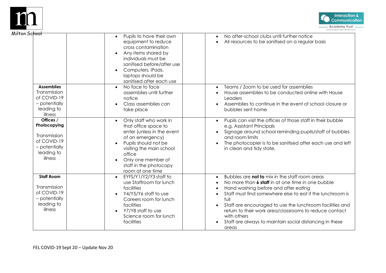



| n Sc <del>hool</del>                                                                               |                                                                                                                                                                                                                                                    |                                                                                                                                                                                                                                                                                                                                                                                                                                                                                                   |
|----------------------------------------------------------------------------------------------------|----------------------------------------------------------------------------------------------------------------------------------------------------------------------------------------------------------------------------------------------------|---------------------------------------------------------------------------------------------------------------------------------------------------------------------------------------------------------------------------------------------------------------------------------------------------------------------------------------------------------------------------------------------------------------------------------------------------------------------------------------------------|
|                                                                                                    | Pupils to have their own<br>$\bullet$<br>equipment to reduce<br>cross contamination<br>Any items shared by<br>individuals must be<br>sanitised before/after use<br>Computers, iPads,<br>$\bullet$<br>laptops should be<br>sanitised after each use | No after-school clubs until further notice<br>$\bullet$<br>All resources to be sanitised on a regular basis<br>$\bullet$                                                                                                                                                                                                                                                                                                                                                                          |
| <b>Assemblies</b><br>Transmission<br>of COVID-19<br>- potentially<br>leading to<br>illness         | No face to face<br>assemblies until further<br>notice<br>Class assemblies can<br>take place                                                                                                                                                        | Teams / Zoom to be used for assemblies<br>$\bullet$<br>House assemblies to be conducted online with House<br>Leaders<br>Assemblies to continue in the event of school closure or<br>bubbles sent home                                                                                                                                                                                                                                                                                             |
| Offices /<br>Photocopying<br>Transmission<br>of COVID-19<br>- potentially<br>leading to<br>illness | Only staff who work in<br>$\bullet$<br>that office space to<br>enter (unless in the event<br>of an emergency)<br>Pupils should not be<br>visiting the main school<br>office<br>Only one member of<br>staff in the photocopy<br>room at one time    | Pupils can visit the offices of those staff in their bubble<br>$\bullet$<br>e.g. Assistant Principals<br>Signage around school reminding pupils/staff of bubbles<br>and room limits<br>The photocopier is to be sanitised after each use and left<br>in clean and tidy state.                                                                                                                                                                                                                     |
| <b>Staff Room</b><br>Transmission<br>of COVID-19<br>- potentially<br>leading to<br>illness         | EYFS/Y1/Y2/Y3 staff to<br>$\bullet$<br>use Staffroom for lunch<br>facilities<br>Y4/Y5/Y6 staff to use<br>Careers room for lunch<br>facilities<br>Y7/Y8 staff to use<br>Science room for lunch<br>facilities                                        | Bubbles are not to mix in the staff room areas<br>$\bullet$<br>No more than <b>6 staff</b> in at one time in one bubble<br>$\bullet$<br>Hand washing before and after eating<br>$\bullet$<br>Staff must find somewhere else to eat if the lunchroom is<br>$\bullet$<br>full<br>Staff are encouraged to use the lunchroom facilities and<br>$\bullet$<br>return to their work area/classrooms to reduce contact<br>with others<br>Staff are always to maintain social distancing in these<br>areas |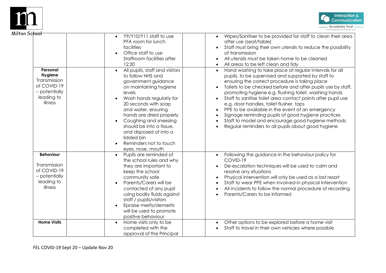



| ın Sc <del>hool</del>                                                                        |                                                                                                                                                                                                                                                                                                                                                                                                                                                                                                             |                                                                                                                                                                                                                                                                                                                                                                                                                                                                                                                                                                                                                                                                                                                                                                                                                                                                                                                                                                             |
|----------------------------------------------------------------------------------------------|-------------------------------------------------------------------------------------------------------------------------------------------------------------------------------------------------------------------------------------------------------------------------------------------------------------------------------------------------------------------------------------------------------------------------------------------------------------------------------------------------------------|-----------------------------------------------------------------------------------------------------------------------------------------------------------------------------------------------------------------------------------------------------------------------------------------------------------------------------------------------------------------------------------------------------------------------------------------------------------------------------------------------------------------------------------------------------------------------------------------------------------------------------------------------------------------------------------------------------------------------------------------------------------------------------------------------------------------------------------------------------------------------------------------------------------------------------------------------------------------------------|
| Personal<br>Hygiene<br>Transmission<br>of COVID-19<br>- potentially<br>leading to<br>illness | Y9/Y10/Y11 staff to use<br>PFA room for lunch<br>facilities<br>Office staff to use<br>Staffroom facilities after<br>12:20<br>All pupils, staff and visitors<br>$\bullet$<br>to follow NHS and<br>government guidance<br>on maintaining hygiene<br>levels<br>Wash hands regularly for<br>20 seconds with soap<br>and water, ensuring<br>hands are dried properly<br>Coughing and sneezing<br>should be into a tissue,<br>and disposed of into a<br>lidded bin<br>Reminders not to touch<br>eyes, nose, mouth | Wipes/Sanitiser to be provided for staff to clean their area<br>after use (seat/table)<br>Staff must bring their own utensils to reduce the possibility<br>of transmission<br>All utensils must be taken home to be cleaned<br>All areas to be left clean and tidy<br>Hand washing to take place at regular intervals for all<br>$\bullet$<br>pupils, to be supervised and supported by staff to<br>ensuring the correct procedure is taking place<br>Toilets to be checked before and after pupils use by staff,<br>$\bullet$<br>promoting hygiene e.g. flushing toilet, washing hands<br>Staff to sanitise toilet area contact points after pupil use<br>$\bullet$<br>e.g. door handles, toilet flusher, taps<br>PPE to be available in the event of an emergency<br>Signage reminding pupils of good hygiene practices<br>$\bullet$<br>Staff to model and encourage good hygiene methods<br>$\bullet$<br>Regular reminders to all pupils about good hygiene<br>$\bullet$ |
| <b>Behaviour</b><br>Transmission<br>of COVID-19<br>- potentially<br>leading to<br>illness    | Pupils are reminded of<br>$\bullet$<br>the school rules and why<br>they are important to<br>keep the school<br>community safe<br>Parents/Carers will be<br>contacted of any pupil<br>using bodily fluids against<br>staff / pupils/visitors<br>Epraise merits/demerits<br>will be used to promote<br>positive behaviour                                                                                                                                                                                     | Following the guidance in the behaviour policy for<br>COVID-19<br>De-escalation techniques will be used to calm and<br>resolve any situations<br>Physical intervention will only be used as a last resort<br>Staff to wear PPE when involved in physical intervention<br>$\bullet$<br>All incidents to follow the normal procedure of recording<br>Parents/Carers to be informed<br>$\bullet$                                                                                                                                                                                                                                                                                                                                                                                                                                                                                                                                                                               |
| <b>Home Visits</b>                                                                           | Home visits only to be<br>$\bullet$<br>completed with the<br>approval of the Principal                                                                                                                                                                                                                                                                                                                                                                                                                      | Other options to be explored before a home visit<br>$\bullet$<br>Staff to travel in their own vehicles where possible<br>$\bullet$                                                                                                                                                                                                                                                                                                                                                                                                                                                                                                                                                                                                                                                                                                                                                                                                                                          |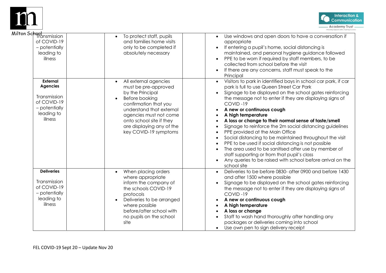



| on Sc <mark>hool</mark><br>Transmission                                                                     |                                                                                                                                                                                                                                                                                |                                                                                                                                                                                                                                                                                                                                                                                                                                                                                                                                                                                                                                                                                                                                                                                                                                                            |
|-------------------------------------------------------------------------------------------------------------|--------------------------------------------------------------------------------------------------------------------------------------------------------------------------------------------------------------------------------------------------------------------------------|------------------------------------------------------------------------------------------------------------------------------------------------------------------------------------------------------------------------------------------------------------------------------------------------------------------------------------------------------------------------------------------------------------------------------------------------------------------------------------------------------------------------------------------------------------------------------------------------------------------------------------------------------------------------------------------------------------------------------------------------------------------------------------------------------------------------------------------------------------|
| of COVID-19<br>- potentially<br>leading to<br>illness                                                       | To protect staff, pupils<br>$\bullet$<br>and families home visits<br>only to be completed if<br>absolutely necessary                                                                                                                                                           | Use windows and open doors to have a conversation if<br>$\bullet$<br>appropriate<br>If entering a pupil's home, social distancing is<br>$\bullet$<br>maintained, and personal hygiene guidance followed<br>PPE to be worn if required by staff members, to be<br>collected from school before the visit<br>If there are any concerns, staff must speak to the<br>$\bullet$<br>Principal                                                                                                                                                                                                                                                                                                                                                                                                                                                                    |
| <b>External</b><br><b>Agencies</b><br>Transmission<br>of COVID-19<br>- potentially<br>leading to<br>illness | All external agencies<br>$\bullet$<br>must be pre-approved<br>by the Principal<br>Before booking<br>$\bullet$<br>confirmation that you<br>understand that external<br>agencies must not come<br>onto school site if they<br>are displaying any of the<br>key COVID-19 symptoms | Visitors to park in identified bays in school car park, if car<br>$\bullet$<br>park is full to use Queen Street Car Park<br>Signage to be displayed on the school gates reinforcing<br>the message not to enter if they are displaying signs of<br>COVID-19<br>A new or continuous cough<br>A high temperature<br>A loss or change to their normal sense of taste/smell<br>$\bullet$<br>Signage to reinforce the 2m social distancing guidelines<br>$\bullet$<br>PPE provided at the Main Office<br>$\bullet$<br>Social distancing to be maintained throughout the visit<br>$\bullet$<br>PPE to be used if social distancing is not possible<br>$\bullet$<br>The area used to be sanitised after use by member of<br>$\bullet$<br>staff supporting or from that pupil's class<br>Any queries to be raised with school before arrival on the<br>school site |
| <b>Deliveries</b><br>Transmission<br>of COVID-19<br>- potentially<br>leading to<br>illness                  | When placing orders<br>$\bullet$<br>where appropriate<br>inform the company of<br>the schools COVID-19<br>protocols<br>Deliveries to be arranged<br>where possible<br>before/after school with<br>no pupils on the school<br>site                                              | Deliveries to be before 0830- after 0900 and before 1430<br>$\bullet$<br>and after 1500 where possible<br>Signage to be displayed on the school gates reinforcing<br>the message not to enter if they are displaying signs of<br>COVID-19<br>A new or continuous cough<br>A high temperature<br>A loss or change<br>Staff to wash hand thoroughly after handling any<br>packages or deliveries coming into school<br>Use own pen to sign delivery receipt<br>$\bullet$                                                                                                                                                                                                                                                                                                                                                                                     |